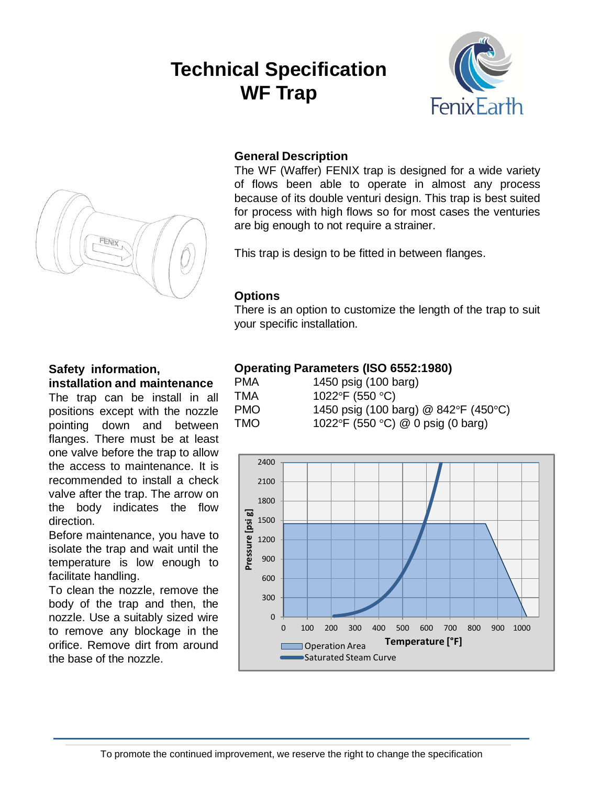# **Technical Specification WF Trap**





# **General Description**

The WF (Waffer) FENIX trap is designed for a wide variety of flows been able to operate in almost any process because of its double venturi design. This trap is best suited for process with high flows so for most cases the venturies are big enough to not require a strainer.

This trap is design to be fitted in between flanges.

#### **Options**

There is an option to customize the length of the trap to suit your specific installation.

# **Safety information, installation and maintenance**

The trap can be install in all positions except with the nozzle pointing down and between flanges. There must be at least one valve before the trap to allow the access to maintenance. It is recommended to install a check valve after the trap. The arrow on the body indicates the flow direction.

Before maintenance, you have to isolate the trap and wait until the temperature is low enough to facilitate handling.

To clean the nozzle, remove the body of the trap and then, the nozzle. Use a suitably sized wire to remove any blockage in the orifice. Remove dirt from around the base of the nozzle.

## **Operating Parameters (ISO 6552:1980)**

PMA 1450 psig (100 barg) TMA  $1022^\circ$ F (550  $^\circ$ C) PMO 1450 psig (100 barg) @ 842°F (450°C) TMO 1022°F (550 °C) @ 0 psig (0 barg)